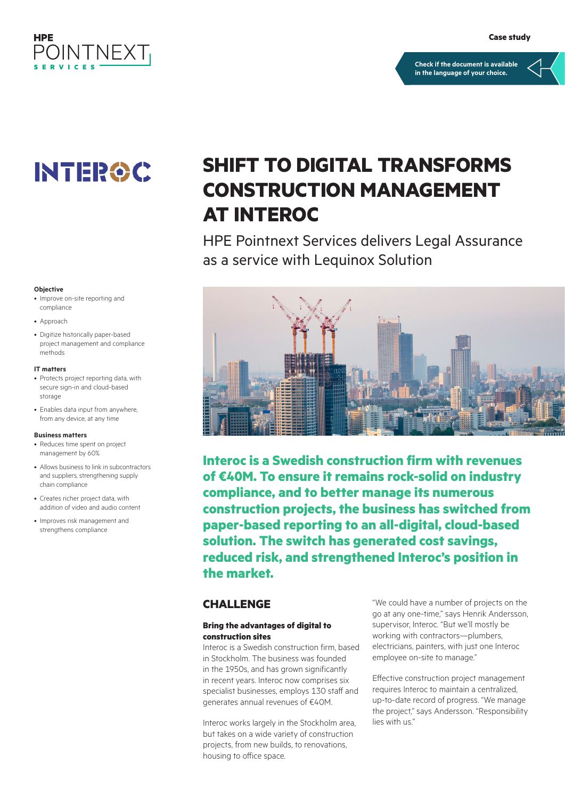

#### **[Check if the document is available](https://psnow.ext.hpe.com/collection-resources/a00038959ENW)  in the language of your choice.**

# **INTEROC**

#### **Objective**

- Improve on-site reporting and compliance
- Approach
- Digitize historically paper-based project management and compliance methods

#### **IT matters**

- Protects project reporting data, with secure sign-in and cloud-based storage
- Enables data input from anywhere, from any device, at any time

#### **Business matters**

- Reduces time spent on project management by 60%
- Allows business to link in subcontractors and suppliers, strengthening supply chain compliance
- Creates richer project data, with addition of video and audio content
- Improves risk management and strengthens compliance

## **SHIFT TO DIGITAL TRANSFORMS CONSTRUCTION MANAGEMENT AT INTEROC**

HPE Pointnext Services delivers Legal Assurance as a service with Lequinox Solution



**Interoc is a Swedish construction firm with revenues of €40M. To ensure it remains rock-solid on industry compliance, and to better manage its numerous construction projects, the business has switched from paper-based reporting to an all-digital, cloud-based solution. The switch has generated cost savings, reduced risk, and strengthened Interoc's position in the market.**

#### **CHALLENGE**

#### **Bring the advantages of digital to construction sites**

Interoc is a Swedish construction firm, based in Stockholm. The business was founded in the 1950s, and has grown significantly in recent years. Interoc now comprises six specialist businesses, employs 130 staff and generates annual revenues of €40M.

Interoc works largely in the Stockholm area, but takes on a wide variety of construction projects, from new builds, to renovations, housing to office space.

"We could have a number of projects on the go at any one-time," says Henrik Andersson, supervisor, Interoc. "But we'll mostly be working with contractors—plumbers, electricians, painters, with just one Interoc employee on-site to manage."

Effective construction project management requires Interoc to maintain a centralized, up-to-date record of progress. "We manage the project," says Andersson. "Responsibility lies with us."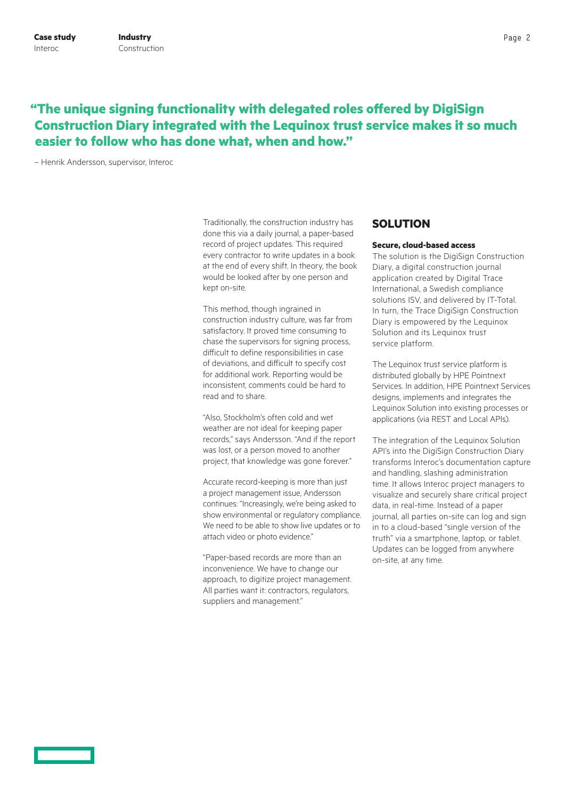### **"The unique signing functionality with delegated roles offered by DigiSign Construction Diary integrated with the Lequinox trust service makes it so much easier to follow who has done what, when and how."**

– Henrik Andersson, supervisor, Interoc

Traditionally, the construction industry has done this via a daily journal, a paper-based record of project updates. This required every contractor to write updates in a book at the end of every shift. In theory, the book would be looked after by one person and kept on-site.

This method, though ingrained in construction industry culture, was far from satisfactory. It proved time consuming to chase the supervisors for signing process, difficult to define responsibilities in case of deviations, and difficult to specify cost for additional work. Reporting would be inconsistent, comments could be hard to read and to share.

"Also, Stockholm's often cold and wet weather are not ideal for keeping paper records," says Andersson. "And if the report was lost, or a person moved to another project, that knowledge was gone forever."

Accurate record-keeping is more than just a project management issue, Andersson continues: "Increasingly, we're being asked to show environmental or regulatory compliance. We need to be able to show live updates or to attach video or photo evidence."

"Paper-based records are more than an inconvenience. We have to change our approach, to digitize project management. All parties want it: contractors, regulators, suppliers and management."

#### **SOLUTION**

#### **Secure, cloud-based access**

The solution is the DigiSign Construction Diary, a digital construction journal application created by Digital Trace International, a Swedish compliance solutions ISV, and delivered by IT-Total. In turn, the Trace DigiSign Construction Diary is empowered by the Lequinox Solution and its Lequinox trust service platform.

The Lequinox trust service platform is distributed globally by HPE Pointnext Services. In addition, HPE Pointnext Services designs, implements and integrates the Lequinox Solution into existing processes or applications (via REST and Local APIs).

The integration of the Lequinox Solution API's into the DigiSign Construction Diary transforms Interoc's documentation capture and handling, slashing administration time. It allows Interoc project managers to visualize and securely share critical project data, in real-time. Instead of a paper journal, all parties on-site can log and sign in to a cloud-based "single version of the truth" via a smartphone, laptop, or tablet. Updates can be logged from anywhere on-site, at any time.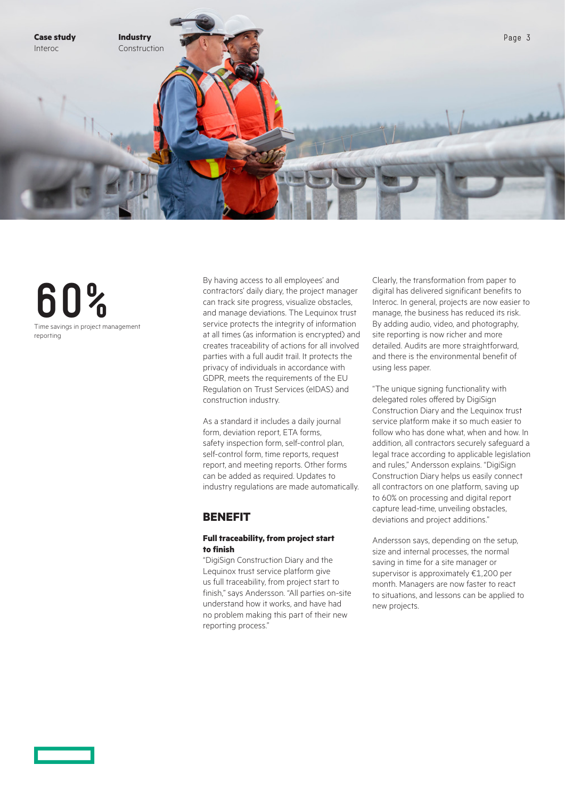

**60%** Time savings in project management reporting

By having access to all employees' and contractors' daily diary, the project manager can track site progress, visualize obstacles, and manage deviations. The Lequinox trust service protects the integrity of information at all times (as information is encrypted) and creates traceability of actions for all involved parties with a full audit trail. It protects the privacy of individuals in accordance with GDPR, meets the requirements of the EU Regulation on Trust Services (eIDAS) and construction industry.

As a standard it includes a daily journal form, deviation report, ETA forms, safety inspection form, self-control plan, self-control form, time reports, request report, and meeting reports. Other forms can be added as required. Updates to industry regulations are made automatically.

### **BENEFIT**

#### **Full traceability, from project start to finish**

"DigiSign Construction Diary and the Lequinox trust service platform give us full traceability, from project start to finish," says Andersson. "All parties on-site understand how it works, and have had no problem making this part of their new reporting process."

Clearly, the transformation from paper to digital has delivered significant benefits to Interoc. In general, projects are now easier to manage, the business has reduced its risk. By adding audio, video, and photography, site reporting is now richer and more detailed. Audits are more straightforward, and there is the environmental benefit of using less paper.

"The unique signing functionality with delegated roles offered by DigiSign Construction Diary and the Lequinox trust service platform make it so much easier to follow who has done what, when and how. In addition, all contractors securely safeguard a legal trace according to applicable legislation and rules," Andersson explains. "DigiSign Construction Diary helps us easily connect all contractors on one platform, saving up to 60% on processing and digital report capture lead-time, unveiling obstacles, deviations and project additions."

Andersson says, depending on the setup, size and internal processes, the normal saving in time for a site manager or supervisor is approximately €1,200 per month. Managers are now faster to react to situations, and lessons can be applied to new projects.